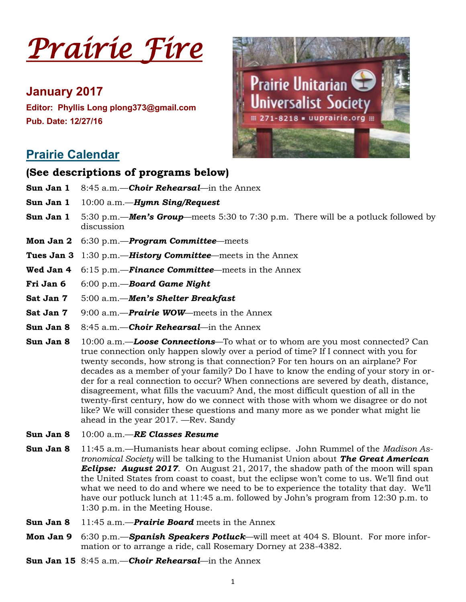

# **January 2017**

**Editor: Phyllis Long plong373@gmail.com Pub. Date: 12/27/16**



# **Prairie Calendar**

### **(See descriptions of programs below)**

- **Sun Jan 1** 8:45 a.m.—*Choir Rehearsal*—in the Annex
- **Sun Jan 1** 10:00 a.m.—*Hymn Sing/Request*
- **Sun Jan 1** 5:30 p.m.—*Men's Group*—meets 5:30 to 7:30 p.m. There will be a potluck followed by discussion
- **Mon Jan 2** 6:30 p.m.—*Program Committee*—meets
- **Tues Jan 3** 1:30 p.m.—*History Committee*—meets in the Annex
- **Wed Jan 4** 6:15 p.m.—*Finance Committee*—meets in the Annex
- **Fri Jan 6** 6:00 p.m.—*Board Game Night*
- **Sat Jan 7** 5:00 a.m.—*Men's Shelter Breakfast*
- **Sat Jan 7** 9:00 a.m.—*Prairie WOW***—meets in the Annex**
- **Sun Jan 8** 8:45 a.m.—*Choir Rehearsal*—in the Annex
- **Sun Jan 8** 10:00 a.m.—*Loose Connections*—To what or to whom are you most connected? Can true connection only happen slowly over a period of time? If I connect with you for twenty seconds, how strong is that connection? For ten hours on an airplane? For decades as a member of your family? Do I have to know the ending of your story in order for a real connection to occur? When connections are severed by death, distance, disagreement, what fills the vacuum? And, the most difficult question of all in the twenty-first century, how do we connect with those with whom we disagree or do not like? We will consider these questions and many more as we ponder what might lie ahead in the year 2017. —Rev. Sandy
- **Sun Jan 8** 10:00 a.m.—*RE Classes Resume*
- **Sun Jan 8** 11:45 a.m.—Humanists hear about coming eclipse. John Rummel of the *Madison Astronomical Society* will be talking to the Humanist Union about *The Great American Eclipse: August 2017*. On August 21, 2017, the shadow path of the moon will span the United States from coast to coast, but the eclipse won't come to us. We'll find out what we need to do and where we need to be to experience the totality that day. We'll have our potluck lunch at 11:45 a.m. followed by John's program from 12:30 p.m. to 1:30 p.m. in the Meeting House.
- **Sun Jan 8** 11:45 a.m.—*Prairie Board* meets in the Annex
- **Mon Jan 9** 6:30 p.m.—*Spanish Speakers Potluck*—will meet at 404 S. Blount. For more information or to arrange a ride, call Rosemary Dorney at 238-4382.
- **Sun Jan 15** 8:45 a.m.—*Choir Rehearsal*—in the Annex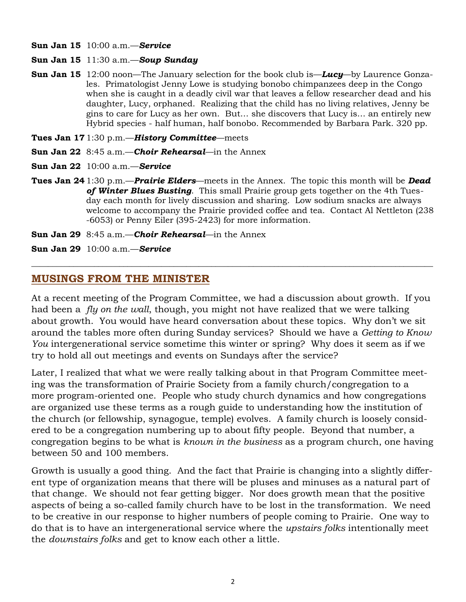- **Sun Jan 15** 10:00 a.m.—*Service*
- **Sun Jan 15** 11:30 a.m.—*Soup Sunday*
- **Sun Jan 15** 12:00 noon—The January selection for the book club is—*Lucy*—by Laurence Gonzales. Primatologist Jenny Lowe is studying bonobo chimpanzees deep in the Congo when she is caught in a deadly civil war that leaves a fellow researcher dead and his daughter, Lucy, orphaned. Realizing that the child has no living relatives, Jenny be gins to care for Lucy as her own. But… she discovers that Lucy is… an entirely new Hybrid species - half human, half bonobo. Recommended by Barbara Park. 320 pp.
- **Tues Jan 17** 1:30 p.m.—*History Committee*—meets
- **Sun Jan 22** 8:45 a.m.—*Choir Rehearsal*—in the Annex
- **Sun Jan 22** 10:00 a.m.—*Service*
- **Tues Jan 24** 1:30 p.m.—*Prairie Elders*—meets in the Annex. The topic this month will be *Dead of Winter Blues Busting*. This small Prairie group gets together on the 4th Tuesday each month for lively discussion and sharing. Low sodium snacks are always welcome to accompany the Prairie provided coffee and tea. Contact Al Nettleton (238 -6053) or Penny Eiler (395-2423) for more information.
- **Sun Jan 29** 8:45 a.m.—*Choir Rehearsal*—in the Annex
- **Sun Jan 29** 10:00 a.m.—*Service*

#### **MUSINGS FROM THE MINISTER**

At a recent meeting of the Program Committee, we had a discussion about growth. If you had been a *fly on the wall*, though, you might not have realized that we were talking about growth. You would have heard conversation about these topics. Why don't we sit around the tables more often during Sunday services? Should we have a *Getting to Know You* intergenerational service sometime this winter or spring? Why does it seem as if we try to hold all out meetings and events on Sundays after the service?

*\_\_\_\_\_\_\_\_\_\_\_\_\_\_\_\_\_\_\_\_\_\_\_\_\_\_\_\_\_\_\_\_\_\_\_\_\_\_\_\_\_\_\_\_\_\_\_\_\_\_\_\_\_\_\_\_\_\_\_\_\_\_\_\_\_\_\_\_\_\_\_\_\_\_\_\_\_\_\_\_\_\_\_\_\_\_\_\_\_\_\_\_\_\_\_\_*

Later, I realized that what we were really talking about in that Program Committee meeting was the transformation of Prairie Society from a family church/congregation to a more program-oriented one. People who study church dynamics and how congregations are organized use these terms as a rough guide to understanding how the institution of the church (or fellowship, synagogue, temple) evolves. A family church is loosely considered to be a congregation numbering up to about fifty people. Beyond that number, a congregation begins to be what is *known in the business* as a program church, one having between 50 and 100 members.

Growth is usually a good thing. And the fact that Prairie is changing into a slightly different type of organization means that there will be pluses and minuses as a natural part of that change. We should not fear getting bigger. Nor does growth mean that the positive aspects of being a so-called family church have to be lost in the transformation. We need to be creative in our response to higher numbers of people coming to Prairie. One way to do that is to have an intergenerational service where the *upstairs folks* intentionally meet the *downstairs folks* and get to know each other a little.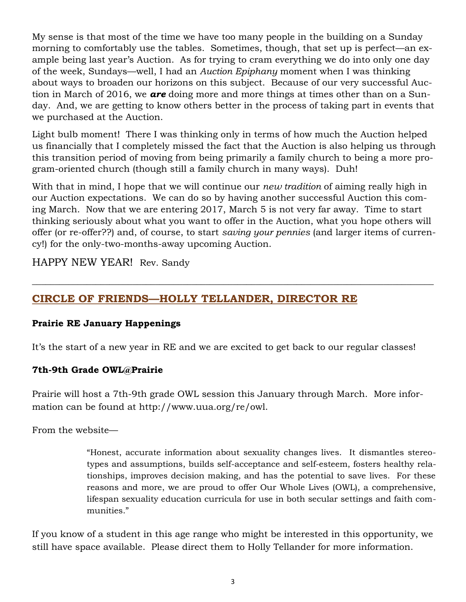My sense is that most of the time we have too many people in the building on a Sunday morning to comfortably use the tables. Sometimes, though, that set up is perfect—an example being last year's Auction. As for trying to cram everything we do into only one day of the week, Sundays—well, I had an *Auction Epiphany* moment when I was thinking about ways to broaden our horizons on this subject. Because of our very successful Auction in March of 2016, we *are* doing more and more things at times other than on a Sunday. And, we are getting to know others better in the process of taking part in events that we purchased at the Auction.

Light bulb moment! There I was thinking only in terms of how much the Auction helped us financially that I completely missed the fact that the Auction is also helping us through this transition period of moving from being primarily a family church to being a more program-oriented church (though still a family church in many ways). Duh!

With that in mind, I hope that we will continue our *new tradition* of aiming really high in our Auction expectations. We can do so by having another successful Auction this coming March. Now that we are entering 2017, March 5 is not very far away. Time to start thinking seriously about what you want to offer in the Auction, what you hope others will offer (or re-offer??) and, of course, to start *saving your pennies* (and larger items of currency!) for the only-two-months-away upcoming Auction.

 $\_$  , and the set of the set of the set of the set of the set of the set of the set of the set of the set of the set of the set of the set of the set of the set of the set of the set of the set of the set of the set of th

HAPPY NEW YEAR! Rev. Sandy

## **CIRCLE OF FRIENDS—HOLLY TELLANDER, DIRECTOR RE**

### **Prairie RE January Happenings**

It's the start of a new year in RE and we are excited to get back to our regular classes!

### **7th-9th Grade OWL@Prairie**

Prairie will host a 7th-9th grade OWL session this January through March. More information can be found at http://www.uua.org/re/owl.

From the website—

"Honest, accurate information about sexuality changes lives. It dismantles stereotypes and assumptions, builds self-acceptance and self-esteem, fosters healthy relationships, improves decision making, and has the potential to save lives. For these reasons and more, we are proud to offer Our Whole Lives (OWL), a comprehensive, lifespan sexuality education curricula for use in both secular settings and faith communities."

If you know of a student in this age range who might be interested in this opportunity, we still have space available. Please direct them to Holly Tellander for more information.